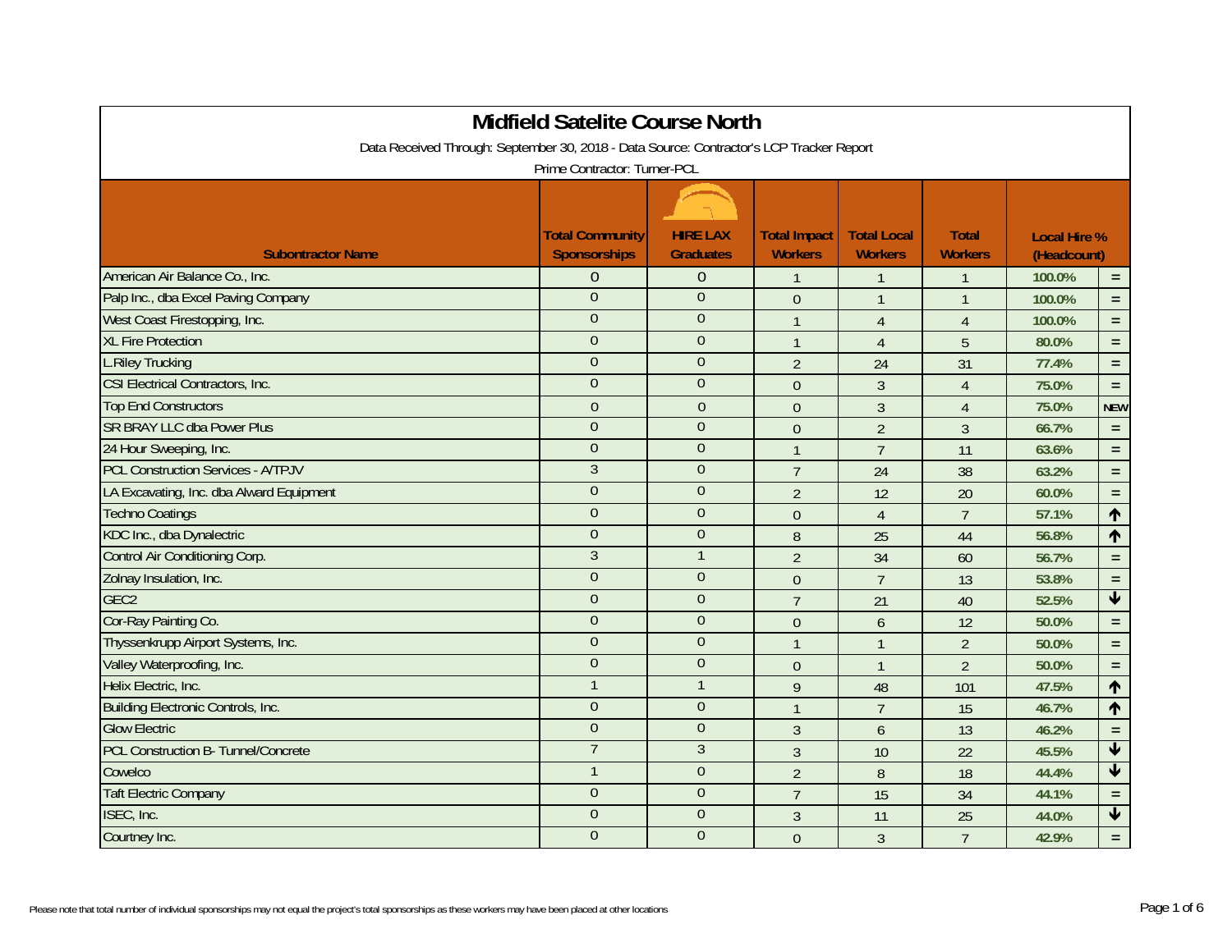|                                                                                          | <b>Midfield Satelite Course North</b>  |                                     |                                       |                                      |                                |                                    |                         |  |  |
|------------------------------------------------------------------------------------------|----------------------------------------|-------------------------------------|---------------------------------------|--------------------------------------|--------------------------------|------------------------------------|-------------------------|--|--|
| Data Received Through: September 30, 2018 - Data Source: Contractor's LCP Tracker Report |                                        |                                     |                                       |                                      |                                |                                    |                         |  |  |
| Prime Contractor: Turner-PCL                                                             |                                        |                                     |                                       |                                      |                                |                                    |                         |  |  |
|                                                                                          |                                        |                                     |                                       |                                      |                                |                                    |                         |  |  |
| <b>Subontractor Name</b>                                                                 | <b>Total Community</b><br>Sponsorships | <b>HIRE LAX</b><br><b>Graduates</b> | <b>Total Impact</b><br><b>Workers</b> | <b>Total Local</b><br><b>Workers</b> | <b>Total</b><br><b>Workers</b> | <b>Local Hire %</b><br>(Headcount) |                         |  |  |
| American Air Balance Co., Inc.                                                           | $\mathbf 0$                            | $\mathbf{0}$                        | $\mathbf{1}$                          | $\mathbf{1}$                         | $\mathbf{1}$                   | 100.0%                             | $\equiv$                |  |  |
| Palp Inc., dba Excel Paving Company                                                      | $\overline{0}$                         | $\overline{0}$                      | $\theta$                              | $\mathbf{1}$                         | $\mathbf{1}$                   | 100.0%                             | $\equiv$                |  |  |
| West Coast Firestopping, Inc.                                                            | $\overline{0}$                         | $\mathbf{0}$                        | $\mathbf{1}$                          | $\overline{4}$                       | $\overline{4}$                 | 100.0%                             | $=$ $\,$                |  |  |
| <b>XL Fire Protection</b>                                                                | $\overline{0}$                         | $\theta$                            | $\mathbf{1}$                          | $\overline{4}$                       | 5                              | 80.0%                              | $\equiv$                |  |  |
| <b>L.Riley Trucking</b>                                                                  | $\overline{0}$                         | $\overline{0}$                      | $\overline{2}$                        | 24                                   | 31                             | 77.4%                              | $\equiv$                |  |  |
| <b>CSI Electrical Contractors, Inc.</b>                                                  | $\overline{0}$                         | $\theta$                            | $\theta$                              | 3                                    | $\overline{4}$                 | 75.0%                              | $\equiv$                |  |  |
| <b>Top End Constructors</b>                                                              | $\overline{0}$                         | $\theta$                            | $\boldsymbol{0}$                      | $\mathfrak{Z}$                       | $\overline{4}$                 | 75.0%                              | <b>NEW</b>              |  |  |
| <b>SR BRAY LLC dba Power Plus</b>                                                        | $\overline{0}$                         | $\overline{0}$                      | $\theta$                              | $\overline{2}$                       | $\mathfrak{Z}$                 | 66.7%                              | $\equiv$                |  |  |
| 24 Hour Sweeping, Inc.                                                                   | $\overline{0}$                         | $\overline{0}$                      | $\overline{1}$                        | $\overline{7}$                       | 11                             | 63.6%                              | $\equiv$                |  |  |
| <b>PCL Construction Services - A/TPJV</b>                                                | $\overline{3}$                         | $\overline{0}$                      | $\overline{7}$                        | 24                                   | 38                             | 63.2%                              | $\equiv$                |  |  |
| LA Excavating, Inc. dba Alward Equipment                                                 | $\overline{0}$                         | $\mathbf{0}$                        | $\overline{2}$                        | 12                                   | 20                             | 60.0%                              | $\equiv$                |  |  |
| <b>Techno Coatings</b>                                                                   | $\overline{0}$                         | $\mathbf{0}$                        | $\mathbf 0$                           | $\overline{4}$                       | $\overline{7}$                 | 57.1%                              | $\uparrow$              |  |  |
| KDC Inc., dba Dynalectric                                                                | $\theta$                               | $\mathbf{0}$                        | 8                                     | 25                                   | 44                             | 56.8%                              | $\uparrow$              |  |  |
| Control Air Conditioning Corp.                                                           | $\mathfrak{Z}$                         | $\mathbf{1}$                        | $\overline{2}$                        | 34                                   | 60                             | 56.7%                              | $\equiv$                |  |  |
| Zolnay Insulation, Inc.                                                                  | $\overline{0}$                         | $\overline{0}$                      | $\Omega$                              | $\overline{7}$                       | 13                             | 53.8%                              | $\equiv$                |  |  |
| GEC <sub>2</sub>                                                                         | $\overline{0}$                         | $\overline{0}$                      | $\overline{7}$                        | 21                                   | 40                             | 52.5%                              | $\overline{\mathbf{t}}$ |  |  |
| Cor-Ray Painting Co.                                                                     | $\overline{0}$                         | $\overline{0}$                      | $\theta$                              | 6                                    | 12                             | 50.0%                              | $\equiv$                |  |  |
| Thyssenkrupp Airport Systems, Inc.                                                       | $\overline{0}$                         | $\overline{0}$                      | $\mathbf{1}$                          | $\overline{1}$                       | $\overline{2}$                 | 50.0%                              | $\equiv$                |  |  |
| Valley Waterproofing, Inc.                                                               | $\boldsymbol{0}$                       | $\boldsymbol{0}$                    | $\boldsymbol{0}$                      | $\mathbf{1}$                         | $\overline{2}$                 | 50.0%                              | $\equiv$                |  |  |
| Helix Electric, Inc.                                                                     | $\mathbf{1}$                           | $\mathbf{1}$                        | 9                                     | 48                                   | 101                            | 47.5%                              | $\uparrow$              |  |  |
| Building Electronic Controls, Inc.                                                       | $\overline{0}$                         | $\theta$                            | $\overline{1}$                        | $\overline{7}$                       | 15                             | 46.7%                              | $\uparrow$              |  |  |
| <b>Glow Electric</b>                                                                     | $\overline{0}$                         | $\overline{0}$                      | $\mathfrak{Z}$                        | 6                                    | 13                             | 46.2%                              | $\equiv$                |  |  |
| PCL Construction B- Tunnel/Concrete                                                      | $\overline{7}$                         | 3                                   | $\mathfrak{Z}$                        | 10                                   | 22                             | 45.5%                              | $\blacklozenge$         |  |  |
| Cowelco                                                                                  | $\mathbf{1}$                           | $\overline{0}$                      | $\overline{2}$                        | $\, 8$                               | 18                             | 44.4%                              | $\blacklozenge$         |  |  |
| <b>Taft Electric Company</b>                                                             | $\overline{0}$                         | $\overline{0}$                      | $\overline{7}$                        | 15                                   | 34                             | 44.1%                              | $\equiv$                |  |  |
| ISEC, Inc.                                                                               | $\overline{0}$                         | $\theta$                            | $\mathfrak{Z}$                        | 11                                   | 25                             | 44.0%                              | $\blacklozenge$         |  |  |
| Courtney Inc.                                                                            | $\overline{0}$                         | $\overline{0}$                      | $\Omega$                              | $\mathfrak{Z}$                       | $\overline{7}$                 | 42.9%                              | $\equiv$                |  |  |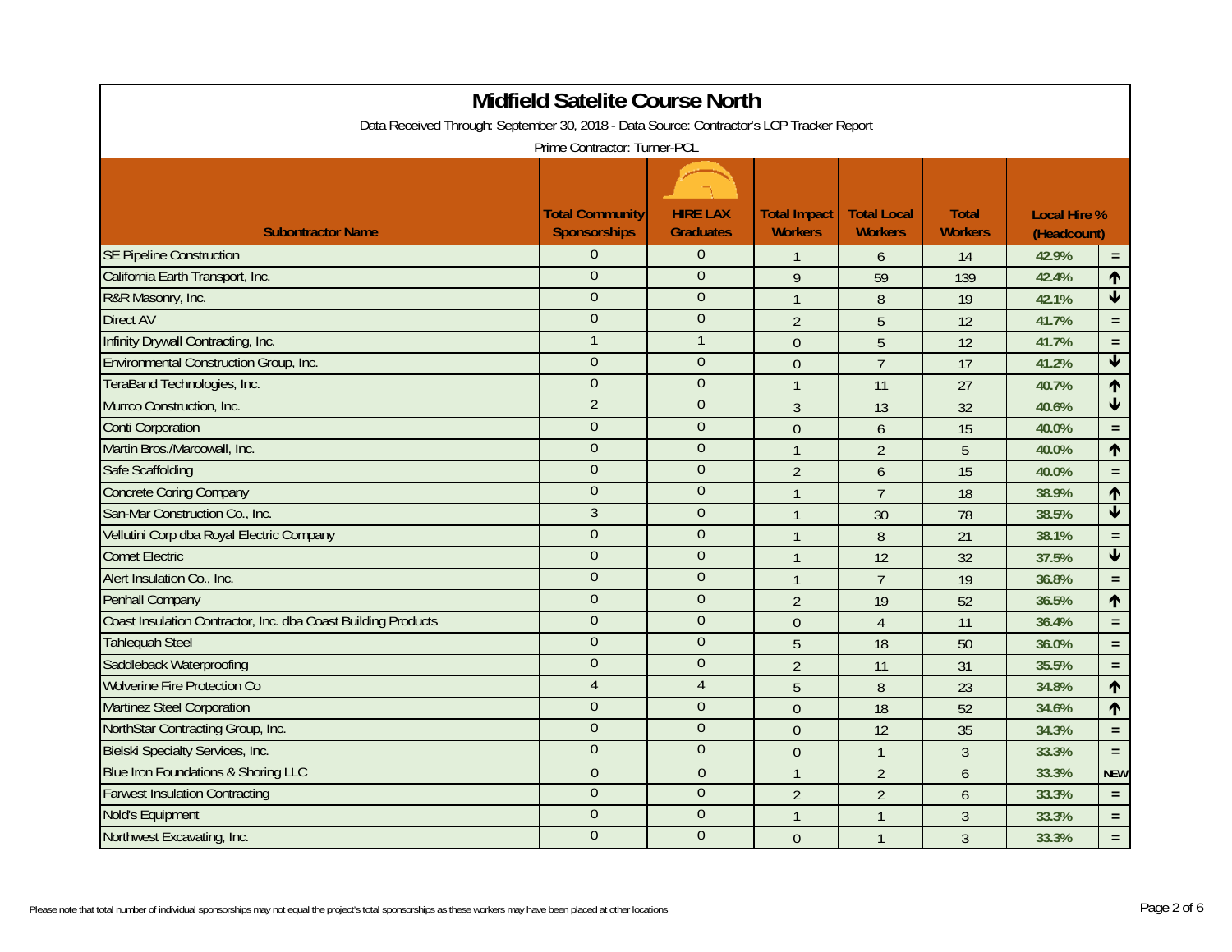| <b>Midfield Satelite Course North</b>                                                    |                                               |                                     |                                       |                                      |                                |                                    |                         |  |  |
|------------------------------------------------------------------------------------------|-----------------------------------------------|-------------------------------------|---------------------------------------|--------------------------------------|--------------------------------|------------------------------------|-------------------------|--|--|
| Data Received Through: September 30, 2018 - Data Source: Contractor's LCP Tracker Report |                                               |                                     |                                       |                                      |                                |                                    |                         |  |  |
| Prime Contractor: Turner-PCL                                                             |                                               |                                     |                                       |                                      |                                |                                    |                         |  |  |
|                                                                                          |                                               |                                     |                                       |                                      |                                |                                    |                         |  |  |
| <b>Subontractor Name</b>                                                                 | <b>Total Community</b><br><b>Sponsorships</b> | <b>HIRE LAX</b><br><b>Graduates</b> | <b>Total Impact</b><br><b>Workers</b> | <b>Total Local</b><br><b>Workers</b> | <b>Total</b><br><b>Workers</b> | <b>Local Hire %</b><br>(Headcount) |                         |  |  |
| <b>SE Pipeline Construction</b>                                                          | $\overline{0}$                                | $\theta$                            | $\mathbf{1}$                          | $\mathfrak b$                        | 14                             | 42.9%                              | $\equiv$                |  |  |
| California Earth Transport, Inc.                                                         | $\overline{0}$                                | $\mathbf{0}$                        | 9                                     | 59                                   | 139                            | 42.4%                              | $\uparrow$              |  |  |
| R&R Masonry, Inc.                                                                        | $\overline{0}$                                | $\mathbf{0}$                        | $\overline{1}$                        | 8                                    | 19                             | 42.1%                              | $\blacklozenge$         |  |  |
| <b>Direct AV</b>                                                                         | $\overline{0}$                                | $\overline{0}$                      | $\overline{2}$                        | 5                                    | 12                             | 41.7%                              | $\equiv$                |  |  |
| Infinity Drywall Contracting, Inc.                                                       |                                               |                                     | $\boldsymbol{0}$                      | $\overline{5}$                       | 12                             | 41.7%                              | $\equiv$                |  |  |
| Environmental Construction Group, Inc.                                                   | $\overline{0}$                                | $\theta$                            | $\theta$                              | $\overline{7}$                       | 17                             | 41.2%                              | $\blacklozenge$         |  |  |
| TeraBand Technologies, Inc.                                                              | $\overline{0}$                                | $\mathbf{0}$                        | $\overline{1}$                        | 11                                   | 27                             | 40.7%                              | $\uparrow$              |  |  |
| Murrco Construction, Inc.                                                                | $\overline{2}$                                | $\theta$                            | $\mathfrak{Z}$                        | 13                                   | 32                             | 40.6%                              | $\blacklozenge$         |  |  |
| <b>Conti Corporation</b>                                                                 | $\overline{0}$                                | $\overline{0}$                      | $\overline{0}$                        | $\overline{6}$                       | 15                             | 40.0%                              | $\equiv$                |  |  |
| Martin Bros./Marcowall, Inc.                                                             | $\overline{0}$                                | $\overline{0}$                      | $\overline{1}$                        | $\overline{2}$                       | 5                              | 40.0%                              | $\overline{\mathbf{r}}$ |  |  |
| Safe Scaffolding                                                                         | $\overline{0}$                                | $\theta$                            | $\overline{2}$                        | 6                                    | 15                             | 40.0%                              | $\equiv$                |  |  |
| <b>Concrete Coring Company</b>                                                           | $\Omega$                                      | $\theta$                            | $\overline{1}$                        | $\overline{7}$                       | 18                             | 38.9%                              | $\blacklozenge$         |  |  |
| San-Mar Construction Co., Inc.                                                           | $\overline{3}$                                | $\overline{0}$                      | $\overline{1}$                        | 30                                   | 78                             | 38.5%                              | $\blacklozenge$         |  |  |
| Vellutini Corp dba Royal Electric Company                                                | $\overline{0}$                                | $\overline{0}$                      | $\overline{1}$                        | 8                                    | 21                             | 38.1%                              | $\equiv$                |  |  |
| <b>Comet Electric</b>                                                                    | $\overline{0}$                                | $\overline{0}$                      | $\overline{1}$                        | 12                                   | 32                             | 37.5%                              | $\overline{\mathbf{V}}$ |  |  |
| Alert Insulation Co., Inc.                                                               | $\overline{0}$                                | $\overline{0}$                      | $\mathbf{1}$                          | $\overline{7}$                       | 19                             | 36.8%                              | $\equiv$                |  |  |
| Penhall Company                                                                          | $\overline{0}$                                | $\theta$                            | $\overline{2}$                        | 19                                   | 52                             | 36.5%                              | $\uparrow$              |  |  |
| Coast Insulation Contractor, Inc. dba Coast Building Products                            | $\overline{0}$                                | $\theta$                            | $\mathbf 0$                           | $\overline{4}$                       | 11                             | 36.4%                              | $\equiv$                |  |  |
| <b>Tahlequah Steel</b>                                                                   | $\overline{0}$                                | $\mathbf{0}$                        | 5                                     | 18                                   | 50                             | 36.0%                              | $\equiv$                |  |  |
| Saddleback Waterproofing                                                                 | $\overline{0}$                                | $\theta$                            | $\overline{2}$                        | 11                                   | 31                             | 35.5%                              | $=$ $\,$                |  |  |
| <b>Wolverine Fire Protection Co</b>                                                      | $\overline{4}$                                | $\overline{4}$                      | $5\phantom{.}$                        | 8                                    | 23                             | 34.8%                              | $\blacklozenge$         |  |  |
| <b>Martinez Steel Corporation</b>                                                        | $\overline{0}$                                | $\mathbf{0}$                        | $\mathbf 0$                           | 18                                   | 52                             | 34.6%                              | $\uparrow$              |  |  |
| NorthStar Contracting Group, Inc.                                                        | $\overline{0}$                                | $\overline{0}$                      | $\boldsymbol{0}$                      | 12                                   | 35                             | 34.3%                              | $\equiv$                |  |  |
| <b>Bielski Specialty Services, Inc.</b>                                                  | $\overline{0}$                                | $\mathbf{0}$                        | $\theta$                              | $\mathbf{1}$                         | 3                              | 33.3%                              | $\equiv$                |  |  |
| Blue Iron Foundations & Shoring LLC                                                      | $\overline{0}$                                | $\overline{0}$                      | $\overline{1}$                        | $\overline{2}$                       | 6                              | 33.3%                              | <b>NEW</b>              |  |  |
| <b>Farwest Insulation Contracting</b>                                                    | $\overline{0}$                                | $\overline{0}$                      | $\overline{2}$                        | $\overline{2}$                       | 6                              | 33.3%                              | $\equiv$                |  |  |
| Nold's Equipment                                                                         | $\overline{0}$                                | $\overline{0}$                      | $\overline{1}$                        | $\overline{1}$                       | $\overline{3}$                 | 33.3%                              | $\equiv$                |  |  |
| Northwest Excavating, Inc.                                                               | $\overline{0}$                                | $\theta$                            | $\theta$                              | $\mathbf{1}$                         | $\overline{3}$                 | 33.3%                              | $\equiv$                |  |  |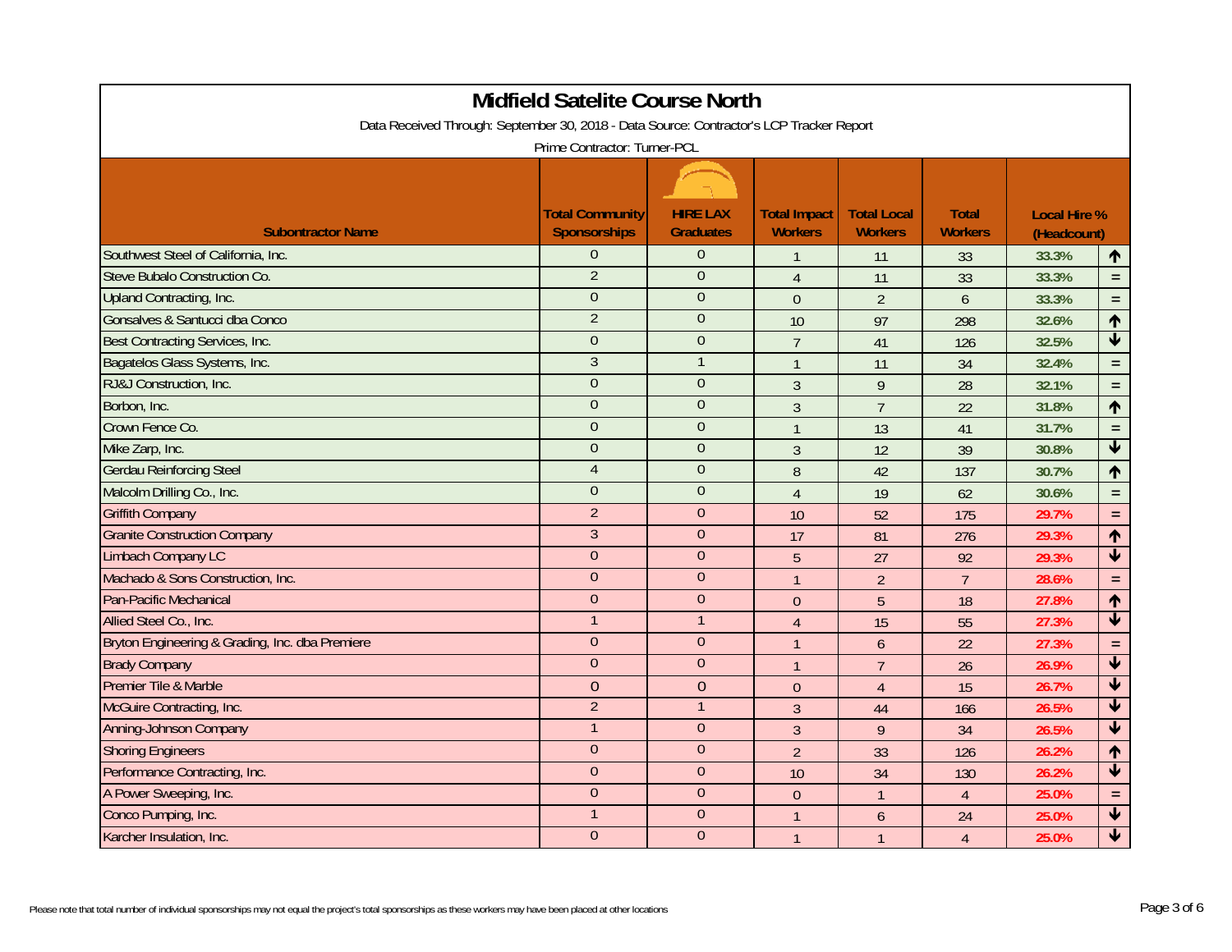| <b>Midfield Satelite Course North</b>                                                    |                                               |                                     |                                       |                                      |                                |                                    |                            |  |  |
|------------------------------------------------------------------------------------------|-----------------------------------------------|-------------------------------------|---------------------------------------|--------------------------------------|--------------------------------|------------------------------------|----------------------------|--|--|
| Data Received Through: September 30, 2018 - Data Source: Contractor's LCP Tracker Report |                                               |                                     |                                       |                                      |                                |                                    |                            |  |  |
| Prime Contractor: Turner-PCL                                                             |                                               |                                     |                                       |                                      |                                |                                    |                            |  |  |
|                                                                                          |                                               |                                     |                                       |                                      |                                |                                    |                            |  |  |
| <b>Subontractor Name</b>                                                                 | <b>Total Community</b><br><b>Sponsorships</b> | <b>HIRE LAX</b><br><b>Graduates</b> | <b>Total Impact</b><br><b>Workers</b> | <b>Total Local</b><br><b>Workers</b> | <b>Total</b><br><b>Workers</b> | <b>Local Hire %</b><br>(Headcount) |                            |  |  |
| Southwest Steel of California, Inc.                                                      | $\overline{0}$                                | $\theta$                            | $\mathbf{1}$                          | 11                                   | 33                             | 33.3%                              | $\uparrow$                 |  |  |
| Steve Bubalo Construction Co.                                                            | $\overline{2}$                                | $\theta$                            | $\overline{4}$                        | 11                                   | 33                             | 33.3%                              | $\equiv$                   |  |  |
| Upland Contracting, Inc.                                                                 | $\overline{0}$                                | $\overline{0}$                      | $\Omega$                              | $\overline{2}$                       | $\overline{6}$                 | 33.3%                              | $\equiv$                   |  |  |
| Gonsalves & Santucci dba Conco                                                           | $\overline{2}$                                | $\mathbf{0}$                        | 10                                    | 97                                   | 298                            | 32.6%                              | $\uparrow$                 |  |  |
| Best Contracting Services, Inc.                                                          | $\Omega$                                      | $\overline{0}$                      | $\overline{7}$                        | 41                                   | 126                            | 32.5%                              | $\overline{\blacklozenge}$ |  |  |
| Bagatelos Glass Systems, Inc.                                                            | $\overline{3}$                                | $\mathbf{1}$                        | $\mathbf{1}$                          | 11                                   | 34                             | 32.4%                              | $\equiv$                   |  |  |
| RJ&J Construction, Inc.                                                                  | $\overline{0}$                                | $\overline{0}$                      | $\overline{3}$                        | 9                                    | 28                             | 32.1%                              | $\equiv$                   |  |  |
| Borbon, Inc.                                                                             | $\Omega$                                      | $\Omega$                            | $\overline{3}$                        | $\overline{7}$                       | 22                             | 31.8%                              | $\uparrow$                 |  |  |
| Crown Fence Co.                                                                          | $\overline{0}$                                | $\theta$                            | $\mathbf{1}$                          | 13                                   | 41                             | 31.7%                              | $\equiv$                   |  |  |
| Mike Zarp, Inc.                                                                          | $\overline{0}$                                | $\theta$                            | $\overline{3}$                        | 12                                   | 39                             | 30.8%                              | $\overline{\blacklozenge}$ |  |  |
| <b>Gerdau Reinforcing Steel</b>                                                          | $\overline{4}$                                | $\mathbf{0}$                        | 8                                     | 42                                   | 137                            | 30.7%                              | ↑                          |  |  |
| Malcolm Drilling Co., Inc.                                                               | $\overline{0}$                                | $\theta$                            | $\overline{4}$                        | 19                                   | 62                             | 30.6%                              | $\equiv$                   |  |  |
| <b>Griffith Company</b>                                                                  | $\overline{2}$                                | $\overline{0}$                      | 10                                    | 52                                   | 175                            | 29.7%                              | $\equiv$                   |  |  |
| <b>Granite Construction Company</b>                                                      | $\mathfrak{Z}$                                | $\theta$                            | 17                                    | 81                                   | 276                            | 29.3%                              | $\uparrow$                 |  |  |
| Limbach Company LC                                                                       | $\boldsymbol{0}$                              | $\theta$                            | 5                                     | 27                                   | 92                             | 29.3%                              | $\overline{\textbf{t}}$    |  |  |
| Machado & Sons Construction, Inc.                                                        | $\overline{0}$                                | $\theta$                            | $\mathbf{1}$                          | $\overline{2}$                       | $\overline{7}$                 | 28.6%                              | $\equiv$                   |  |  |
| Pan-Pacific Mechanical                                                                   | $\overline{0}$                                | $\theta$                            | $\overline{0}$                        | 5                                    | 18                             | 27.8%                              | $\uparrow$                 |  |  |
| Allied Steel Co., Inc.                                                                   |                                               | $\overline{1}$                      | $\overline{4}$                        | 15                                   | 55                             | 27.3%                              | $\blacklozenge$            |  |  |
| Bryton Engineering & Grading, Inc. dba Premiere                                          | $\overline{0}$                                | $\overline{0}$                      | $\mathbf{1}$                          | 6                                    | 22                             | 27.3%                              | $\equiv$                   |  |  |
| <b>Brady Company</b>                                                                     | $\overline{0}$                                | $\theta$                            | $\mathbf{1}$                          | $\overline{7}$                       | 26                             | 26.9%                              | $\blacklozenge$            |  |  |
| <b>Premier Tile &amp; Marble</b>                                                         | $\overline{0}$                                | $\overline{0}$                      | $\overline{0}$                        | $\overline{4}$                       | 15                             | 26.7%                              | $\overline{\textbf{v}}$    |  |  |
| McGuire Contracting, Inc.                                                                | $\overline{2}$                                | $\overline{1}$                      | $\mathfrak{Z}$                        | 44                                   | 166                            | 26.5%                              | $\overline{\textbf{v}}$    |  |  |
| <b>Anning-Johnson Company</b>                                                            |                                               | $\theta$                            | $\overline{3}$                        | 9                                    | 34                             | 26.5%                              | $\blacktriangledown$       |  |  |
| <b>Shoring Engineers</b>                                                                 | $\Omega$                                      | $\Omega$                            | $\overline{2}$                        | 33                                   | 126                            | 26.2%                              | $\uparrow$                 |  |  |
| Performance Contracting, Inc.                                                            | $\overline{0}$                                | $\theta$                            | 10                                    | 34                                   | 130                            | 26.2%                              | $\overline{\textbf{v}}$    |  |  |
| A Power Sweeping, Inc.                                                                   | $\overline{0}$                                | $\theta$                            | $\overline{0}$                        | $\mathbf{1}$                         | $\overline{4}$                 | 25.0%                              | $\equiv$                   |  |  |
| Conco Pumping, Inc.                                                                      |                                               | $\overline{0}$                      | $\overline{1}$                        | 6                                    | 24                             | 25.0%                              | $\overline{\textbf{t}}$    |  |  |
| Karcher Insulation, Inc.                                                                 | $\overline{0}$                                | $\overline{0}$                      | $\mathbf{1}$                          | $\mathbf{1}$                         | $\overline{4}$                 | 25.0%                              | $\overline{\textbf{V}}$    |  |  |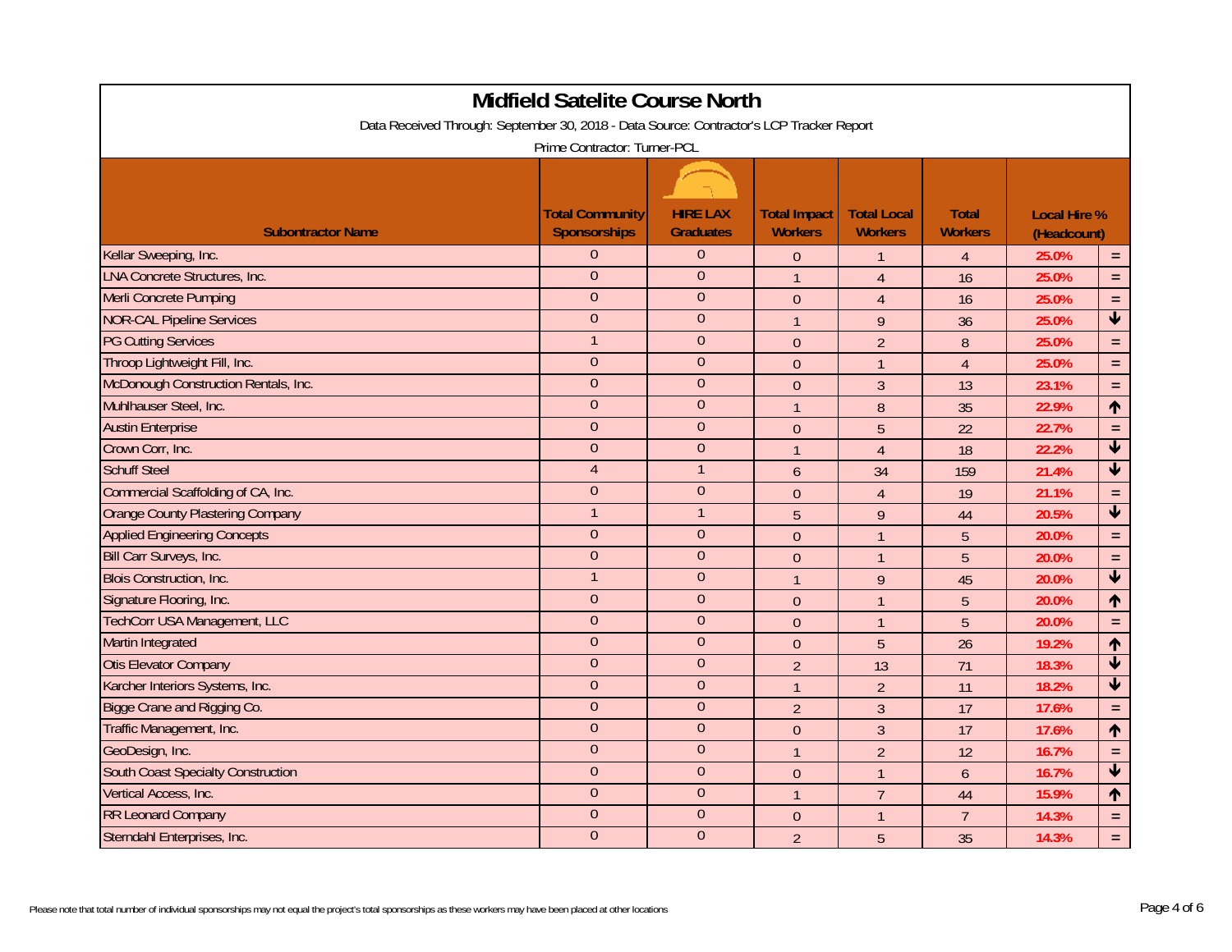| Midfield Satelite Course North                                                           |                                               |                                     |                                       |                                      |                                |                                    |                            |  |  |
|------------------------------------------------------------------------------------------|-----------------------------------------------|-------------------------------------|---------------------------------------|--------------------------------------|--------------------------------|------------------------------------|----------------------------|--|--|
| Data Received Through: September 30, 2018 - Data Source: Contractor's LCP Tracker Report |                                               |                                     |                                       |                                      |                                |                                    |                            |  |  |
| Prime Contractor: Turner-PCL                                                             |                                               |                                     |                                       |                                      |                                |                                    |                            |  |  |
|                                                                                          |                                               |                                     |                                       |                                      |                                |                                    |                            |  |  |
| <b>Subontractor Name</b>                                                                 | <b>Total Community</b><br><b>Sponsorships</b> | <b>HIRE LAX</b><br><b>Graduates</b> | <b>Total Impact</b><br><b>Workers</b> | <b>Total Local</b><br><b>Workers</b> | <b>Total</b><br><b>Workers</b> | <b>Local Hire %</b><br>(Headcount) |                            |  |  |
| Kellar Sweeping, Inc.                                                                    | $\Omega$                                      | $\theta$                            | $\Omega$                              | $\mathbf{1}$                         | $\overline{4}$                 | 25.0%                              | $\equiv$                   |  |  |
| <b>LNA Concrete Structures, Inc.</b>                                                     | $\overline{0}$                                | $\overline{0}$                      | $\overline{1}$                        | $\overline{4}$                       | 16                             | 25.0%                              | $\equiv$                   |  |  |
| Merli Concrete Pumping                                                                   | $\Omega$                                      | $\Omega$                            | $\mathbf{0}$                          | $\overline{4}$                       | 16                             | 25.0%                              | $\equiv$                   |  |  |
| <b>NOR-CAL Pipeline Services</b>                                                         | $\overline{0}$                                | $\overline{0}$                      | $\overline{1}$                        | 9                                    | 36                             | 25.0%                              | $\blacktriangledown$       |  |  |
| <b>PG Cutting Services</b>                                                               |                                               | $\theta$                            | $\theta$                              | $\overline{2}$                       | 8                              | 25.0%                              | $\equiv$                   |  |  |
| Throop Lightweight Fill, Inc.                                                            | $\overline{0}$                                | $\mathbf{0}$                        | $\theta$                              | $\mathbf{1}$                         | $\overline{4}$                 | 25.0%                              | $\equiv$                   |  |  |
| McDonough Construction Rentals, Inc.                                                     | $\overline{0}$                                | $\overline{0}$                      | $\overline{0}$                        | $\overline{3}$                       | 13                             | 23.1%                              | $\equiv$                   |  |  |
| Muhlhauser Steel, Inc.                                                                   | $\theta$                                      | $\theta$                            | $\mathbf{1}$                          | 8                                    | 35                             | 22.9%                              | $\uparrow$                 |  |  |
| <b>Austin Enterprise</b>                                                                 | $\overline{0}$                                | $\overline{0}$                      | $\overline{0}$                        | 5                                    | 22                             | 22.7%                              | $\equiv$                   |  |  |
| Crown Corr, Inc.                                                                         | $\overline{0}$                                | $\theta$                            | $\mathbf{1}$                          | $\overline{4}$                       | 18                             | 22.2%                              | $\overline{\blacklozenge}$ |  |  |
| <b>Schuff Steel</b>                                                                      | $\overline{4}$                                | $\mathbf{1}$                        | 6                                     | 34                                   | 159                            | 21.4%                              | $\blacklozenge$            |  |  |
| Commercial Scaffolding of CA, Inc.                                                       | $\overline{0}$                                | $\overline{0}$                      | $\theta$                              | $\overline{4}$                       | 19                             | 21.1%                              | $\equiv$                   |  |  |
| <b>Orange County Plastering Company</b>                                                  |                                               |                                     | 5                                     | 9                                    | 44                             | 20.5%                              | $\overline{\textbf{v}}$    |  |  |
| <b>Applied Engineering Concepts</b>                                                      | $\overline{0}$                                | $\overline{0}$                      | $\boldsymbol{0}$                      | $\mathbf{1}$                         | $\overline{5}$                 | 20.0%                              | $\equiv$                   |  |  |
| Bill Carr Surveys, Inc.                                                                  | $\overline{0}$                                | $\overline{0}$                      | $\overline{0}$                        | $\mathbf{1}$                         | 5                              | 20.0%                              | $\equiv$                   |  |  |
| <b>Blois Construction, Inc.</b>                                                          | 1                                             | $\theta$                            | $\overline{1}$                        | 9                                    | 45                             | 20.0%                              | $\overline{\mathbf{t}}$    |  |  |
| Signature Flooring, Inc.                                                                 | $\theta$                                      | $\theta$                            | $\theta$                              | $\mathbf{1}$                         | 5                              | 20.0%                              | $\uparrow$                 |  |  |
| TechCorr USA Management, LLC                                                             | $\overline{0}$                                | $\overline{0}$                      | $\overline{0}$                        | $\mathbf{1}$                         | 5                              | 20.0%                              | $\equiv$                   |  |  |
| Martin Integrated                                                                        | $\overline{0}$                                | $\overline{0}$                      | $\overline{0}$                        | 5                                    | 26                             | 19.2%                              | $\uparrow$                 |  |  |
| <b>Otis Elevator Company</b>                                                             | $\overline{0}$                                | $\overline{0}$                      | $\overline{2}$                        | 13                                   | 71                             | 18.3%                              | $\blacklozenge$            |  |  |
| Karcher Interiors Systems, Inc.                                                          | $\overline{0}$                                | $\mathbf{0}$                        | $\overline{1}$                        | $\overline{2}$                       | 11                             | 18.2%                              | $\overline{\textbf{v}}$    |  |  |
| Bigge Crane and Rigging Co.                                                              | $\theta$                                      | $\mathbf{0}$                        | $\overline{2}$                        | $\overline{3}$                       | 17                             | 17.6%                              | $\equiv$                   |  |  |
| Traffic Management, Inc.                                                                 | $\overline{0}$                                | $\overline{0}$                      | $\overline{0}$                        | $\mathbf{3}$                         | 17                             | 17.6%                              | $\uparrow$                 |  |  |
| GeoDesign, Inc.                                                                          | $\theta$                                      | $\overline{0}$                      | $\mathbf{1}$                          | $\overline{2}$                       | 12                             | 16.7%                              | $\equiv$                   |  |  |
| South Coast Specialty Construction                                                       | $\overline{0}$                                | $\overline{0}$                      | $\overline{0}$                        | $\mathbf{1}$                         | 6                              | 16.7%                              | $\overline{\textbf{v}}$    |  |  |
| Vertical Access, Inc.                                                                    | $\theta$                                      | $\theta$                            | $\mathbf{1}$                          | $\overline{7}$                       | 44                             | 15.9%                              | $\uparrow$                 |  |  |
| <b>RR Leonard Company</b>                                                                | $\overline{0}$                                | $\overline{0}$                      | $\overline{0}$                        | $\mathbf{1}$                         | $\overline{7}$                 | 14.3%                              | $\equiv$                   |  |  |
| Sterndahl Enterprises, Inc.                                                              | $\overline{0}$                                | $\overline{0}$                      | $\overline{2}$                        | 5                                    | 35                             | 14.3%                              | $\equiv$                   |  |  |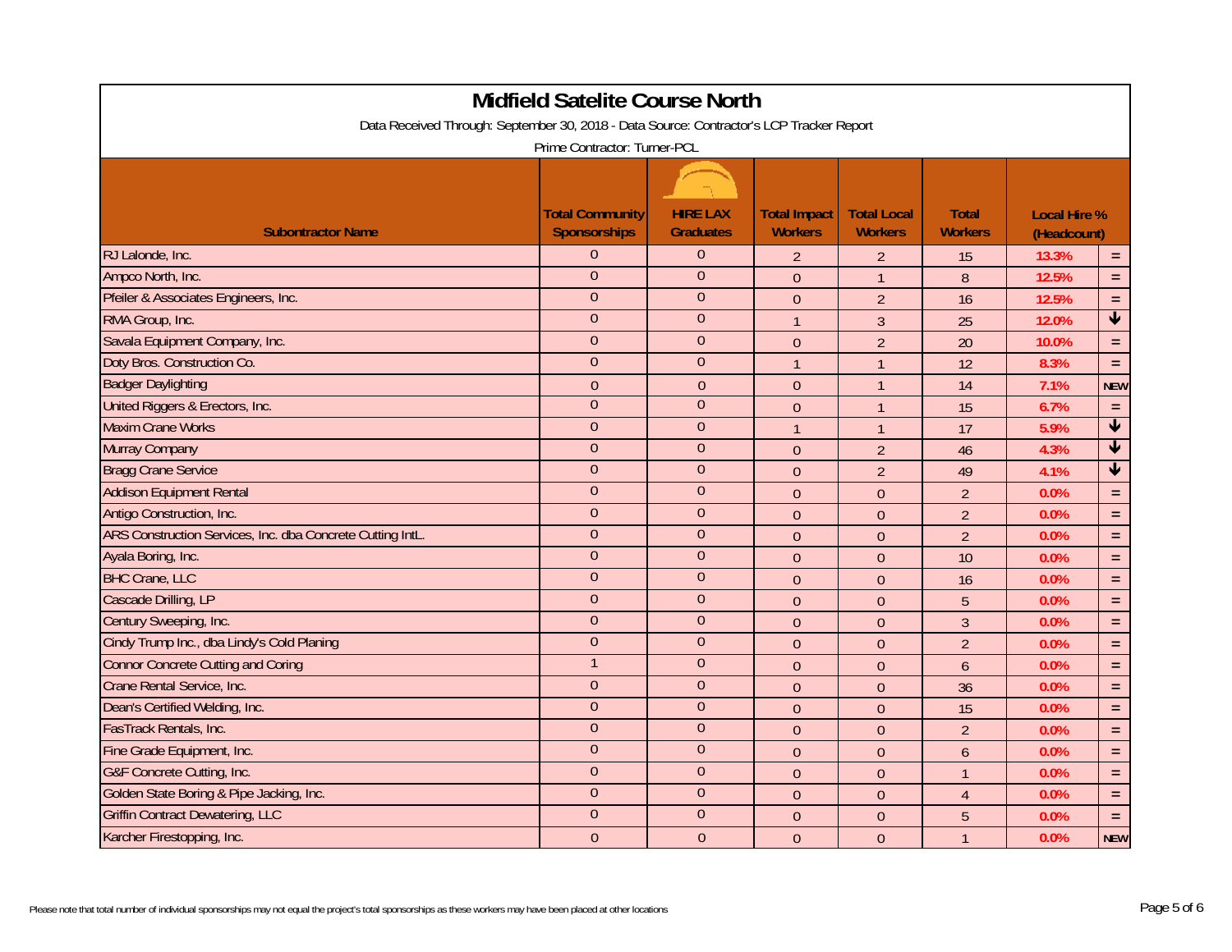| Midfield Satelite Course North                                                           |                                               |                                     |                                       |                                      |                                |                                    |                            |  |  |
|------------------------------------------------------------------------------------------|-----------------------------------------------|-------------------------------------|---------------------------------------|--------------------------------------|--------------------------------|------------------------------------|----------------------------|--|--|
| Data Received Through: September 30, 2018 - Data Source: Contractor's LCP Tracker Report |                                               |                                     |                                       |                                      |                                |                                    |                            |  |  |
| Prime Contractor: Turner-PCL                                                             |                                               |                                     |                                       |                                      |                                |                                    |                            |  |  |
|                                                                                          |                                               |                                     |                                       |                                      |                                |                                    |                            |  |  |
| <b>Subontractor Name</b>                                                                 | <b>Total Community</b><br><b>Sponsorships</b> | <b>HIRE LAX</b><br><b>Graduates</b> | <b>Total Impact</b><br><b>Workers</b> | <b>Total Local</b><br><b>Workers</b> | <b>Total</b><br><b>Workers</b> | <b>Local Hire %</b><br>(Headcount) |                            |  |  |
| RJ Lalonde, Inc.                                                                         | $\overline{0}$                                | $\overline{0}$                      | $\overline{2}$                        | $\overline{2}$                       | 15                             | 13.3%                              | $=$                        |  |  |
| Ampco North, Inc.                                                                        | $\Omega$                                      | $\Omega$                            | $\mathbf{0}$                          | $\mathbf{1}$                         | 8                              | 12.5%                              | $\equiv$                   |  |  |
| Pfeiler & Associates Engineers, Inc.                                                     | $\overline{0}$                                | $\overline{0}$                      | $\theta$                              | $\overline{2}$                       | 16                             | 12.5%                              | $\equiv$                   |  |  |
| RMA Group, Inc.                                                                          | $\theta$                                      | $\overline{0}$                      | $\mathbf{1}$                          | $\mathfrak{Z}$                       | 25                             | 12.0%                              | $\overline{\textbf{v}}$    |  |  |
| Savala Equipment Company, Inc.                                                           | $\overline{0}$                                | $\overline{0}$                      | $\pmb{0}$                             | $\overline{2}$                       | 20                             | 10.0%                              | $\equiv$                   |  |  |
| Doty Bros. Construction Co.                                                              | $\overline{0}$                                | $\theta$                            | $\overline{1}$                        | $\mathbf{1}$                         | 12                             | 8.3%                               | $\equiv$                   |  |  |
| <b>Badger Daylighting</b>                                                                | $\overline{0}$                                | $\overline{0}$                      | $\mathbf{0}$                          | $\mathbf{1}$                         | 14                             | 7.1%                               | <b>NEW</b>                 |  |  |
| United Riggers & Erectors, Inc.                                                          | $\overline{0}$                                | $\mathbf{0}$                        | $\overline{0}$                        | $\mathbf{1}$                         | 15                             | 6.7%                               | $\equiv$                   |  |  |
| <b>Maxim Crane Works</b>                                                                 | $\overline{0}$                                | $\overline{0}$                      | $\overline{1}$                        | $\mathbf{1}$                         | 17                             | 5.9%                               | $\overline{\mathbf{v}}$    |  |  |
| <b>Murray Company</b>                                                                    | $\overline{0}$                                | $\theta$                            | $\theta$                              | $\overline{2}$                       | 46                             | 4.3%                               | $\overline{\mathbf{V}}$    |  |  |
| <b>Bragg Crane Service</b>                                                               | $\overline{0}$                                | $\mathbf{0}$                        | $\overline{0}$                        | $\overline{2}$                       | 49                             | 4.1%                               | $\overline{\blacklozenge}$ |  |  |
| <b>Addison Equipment Rental</b>                                                          | $\Omega$                                      | $\mathbf{0}$                        | $\pmb{0}$                             | $\theta$                             | $\overline{2}$                 | 0.0%                               | $\equiv$                   |  |  |
| Antigo Construction, Inc.                                                                | $\Omega$                                      | $\overline{0}$                      | $\theta$                              | $\theta$                             | $\overline{2}$                 | 0.0%                               | $\equiv$                   |  |  |
| ARS Construction Services, Inc. dba Concrete Cutting IntL.                               | $\boldsymbol{0}$                              | $\theta$                            | $\pmb{0}$                             | $\overline{0}$                       | $\overline{2}$                 | 0.0%                               | $\equiv$                   |  |  |
| Ayala Boring, Inc.                                                                       | $\overline{0}$                                | $\mathbf{0}$                        | $\mathbf{0}$                          | $\overline{0}$                       | 10                             | 0.0%                               | $\equiv$                   |  |  |
| <b>BHC Crane, LLC</b>                                                                    | $\overline{0}$                                | $\overline{0}$                      | $\overline{0}$                        | $\overline{0}$                       | 16                             | 0.0%                               | $\equiv$                   |  |  |
| Cascade Drilling, LP                                                                     | $\overline{0}$                                | $\mathbf{0}$                        | $\theta$                              | $\mathbf{0}$                         | 5                              | 0.0%                               | $\equiv$                   |  |  |
| Century Sweeping, Inc.                                                                   | $\overline{0}$                                | $\boldsymbol{0}$                    | $\theta$                              | $\theta$                             | $\overline{3}$                 | 0.0%                               | $\equiv$                   |  |  |
| Cindy Trump Inc., dba Lindy's Cold Planing                                               | $\overline{0}$                                | $\overline{0}$                      | $\overline{0}$                        | $\overline{0}$                       | $\overline{2}$                 | 0.0%                               | $\equiv$                   |  |  |
| <b>Connor Concrete Cutting and Coring</b>                                                | $\mathbf{1}$                                  | $\overline{0}$                      | $\overline{0}$                        | $\overline{0}$                       | 6                              | 0.0%                               | $\equiv$                   |  |  |
| Crane Rental Service, Inc.                                                               | $\overline{0}$                                | $\theta$                            | $\mathbf{0}$                          | $\overline{0}$                       | 36                             | 0.0%                               | $\equiv$                   |  |  |
| Dean's Certified Welding, Inc.                                                           | $\overline{0}$                                | $\mathbf{0}$                        | $\theta$                              | $\theta$                             | 15                             | 0.0%                               | $\equiv$                   |  |  |
| FasTrack Rentals, Inc.                                                                   | $\overline{0}$                                | $\overline{0}$                      | $\mathbf{0}$                          | $\overline{0}$                       | $\overline{2}$                 | 0.0%                               | $\equiv$                   |  |  |
| Fine Grade Equipment, Inc.                                                               | $\overline{0}$                                | $\overline{0}$                      | $\pmb{0}$                             | $\Omega$                             | 6                              | 0.0%                               | $\equiv$                   |  |  |
| G&F Concrete Cutting, Inc.                                                               | $\overline{0}$                                | $\theta$                            | $\theta$                              | $\theta$                             | $\mathbf{1}$                   | 0.0%                               | $\equiv$                   |  |  |
| Golden State Boring & Pipe Jacking, Inc.                                                 | $\overline{0}$                                | $\mathbf{0}$                        | $\mathbf{0}$                          | $\overline{0}$                       | $\overline{4}$                 | 0.0%                               | $\equiv$                   |  |  |
| <b>Griffin Contract Dewatering, LLC</b>                                                  | $\overline{0}$                                | $\theta$                            | $\Omega$                              | $\theta$                             | 5                              | 0.0%                               | $\equiv$                   |  |  |
| Karcher Firestopping, Inc.                                                               | $\overline{0}$                                | $\overline{0}$                      | $\mathbf{0}$                          | $\overline{0}$                       | $\mathbf{1}$                   | 0.0%                               | <b>NEW</b>                 |  |  |